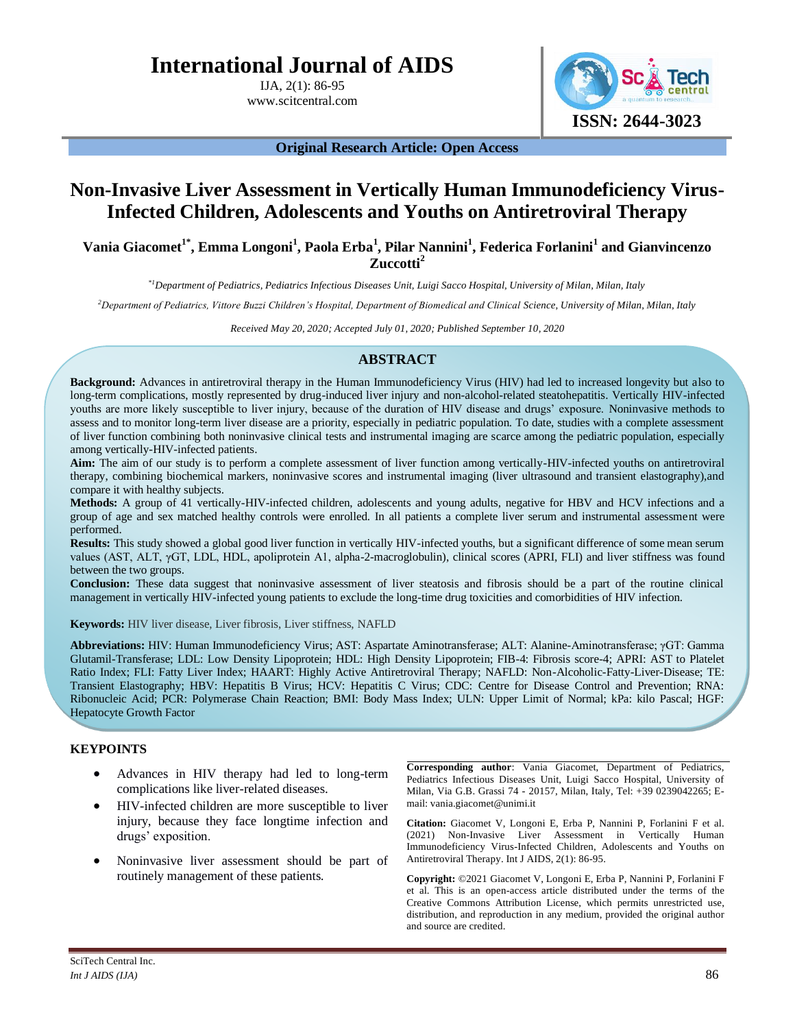# **International Journal of AIDS**

IJA, 2(1): 86-95 www.scitcentral.com



**Original Research Article: Open Access**

## **Non-Invasive Liver Assessment in Vertically Human Immunodeficiency Virus-Infected Children, Adolescents and Youths on Antiretroviral Therapy**

## **Vania Giacomet1\*, Emma Longoni<sup>1</sup> , Paola Erba<sup>1</sup> , Pilar Nannini<sup>1</sup> , Federica Forlanini<sup>1</sup> and Gianvincenzo Zuccotti<sup>2</sup>**

*\*1Department of Pediatrics, Pediatrics Infectious Diseases Unit, Luigi Sacco Hospital, University of Milan, Milan, Italy*

*<sup>2</sup>Department of Pediatrics, Vittore Buzzi Children's Hospital, Department of Biomedical and Clinical Science, University of Milan, Milan, Italy*

*Received May 20, 2020; Accepted July 01, 2020; Published September 10, 2020*

### **ABSTRACT**

**Background:** Advances in antiretroviral therapy in the Human Immunodeficiency Virus (HIV) had led to increased longevity but also to long-term complications, mostly represented by drug-induced liver injury and non-alcohol-related steatohepatitis. Vertically HIV-infected youths are more likely susceptible to liver injury, because of the duration of HIV disease and drugs' exposure. Noninvasive methods to assess and to monitor long-term liver disease are a priority, especially in pediatric population. To date, studies with a complete assessment of liver function combining both noninvasive clinical tests and instrumental imaging are scarce among the pediatric population, especially among vertically-HIV-infected patients.

**Aim:** The aim of our study is to perform a complete assessment of liver function among vertically-HIV-infected youths on antiretroviral therapy, combining biochemical markers, noninvasive scores and instrumental imaging (liver ultrasound and transient elastography),and compare it with healthy subjects.

**Methods:** A group of 41 vertically-HIV-infected children, adolescents and young adults, negative for HBV and HCV infections and a group of age and sex matched healthy controls were enrolled. In all patients a complete liver serum and instrumental assessment were performed.

**Results:** This study showed a global good liver function in vertically HIV-infected youths, but a significant difference of some mean serum values (AST, ALT, γGT, LDL, HDL, apoliprotein A1, alpha-2-macroglobulin), clinical scores (APRI, FLI) and liver stiffness was found between the two groups.

**Conclusion:** These data suggest that noninvasive assessment of liver steatosis and fibrosis should be a part of the routine clinical management in vertically HIV-infected young patients to exclude the long-time drug toxicities and comorbidities of HIV infection.

**Keywords:** HIV liver disease, Liver fibrosis, Liver stiffness, NAFLD

**Abbreviations:** HIV: Human Immunodeficiency Virus; AST: Aspartate Aminotransferase; ALT: Alanine-Aminotransferase; γGT: Gamma Glutamil-Transferase; LDL: Low Density Lipoprotein; HDL: High Density Lipoprotein; FIB-4: Fibrosis score-4; APRI: AST to Platelet Ratio Index; FLI: Fatty Liver Index; HAART: Highly Active Antiretroviral Therapy; NAFLD: Non-Alcoholic-Fatty-Liver-Disease; TE: Transient Elastography; HBV: Hepatitis B Virus; HCV: Hepatitis C Virus; CDC: Centre for Disease Control and Prevention; RNA: Ribonucleic Acid; PCR: Polymerase Chain Reaction; BMI: Body Mass Index; ULN: Upper Limit of Normal; kPa: kilo Pascal; HGF: Hepatocyte Growth Factor

## **KEYPOINTS**

- Advances in HIV therapy had led to long-term complications like liver-related diseases.
- HIV-infected children are more susceptible to liver injury, because they face longtime infection and drugs' exposition.
- Noninvasive liver assessment should be part of routinely management of these patients.

**Corresponding author**: Vania Giacomet, Department of Pediatrics, Pediatrics Infectious Diseases Unit, Luigi Sacco Hospital, University of Milan, Via G.B. Grassi 74 - 20157, Milan, Italy, Tel: +39 0239042265; Email: vania.giacomet@unimi.it

**Citation:** Giacomet V, Longoni E, Erba P, Nannini P, Forlanini F et al. (2021) Non-Invasive Liver Assessment in Vertically Human Immunodeficiency Virus-Infected Children, Adolescents and Youths on Antiretroviral Therapy. Int J AIDS, 2(1): 86-95.

**Copyright:** ©2021 Giacomet V, Longoni E, Erba P, Nannini P, Forlanini F et al. This is an open-access article distributed under the terms of the Creative Commons Attribution License, which permits unrestricted use, distribution, and reproduction in any medium, provided the original author and source are credited.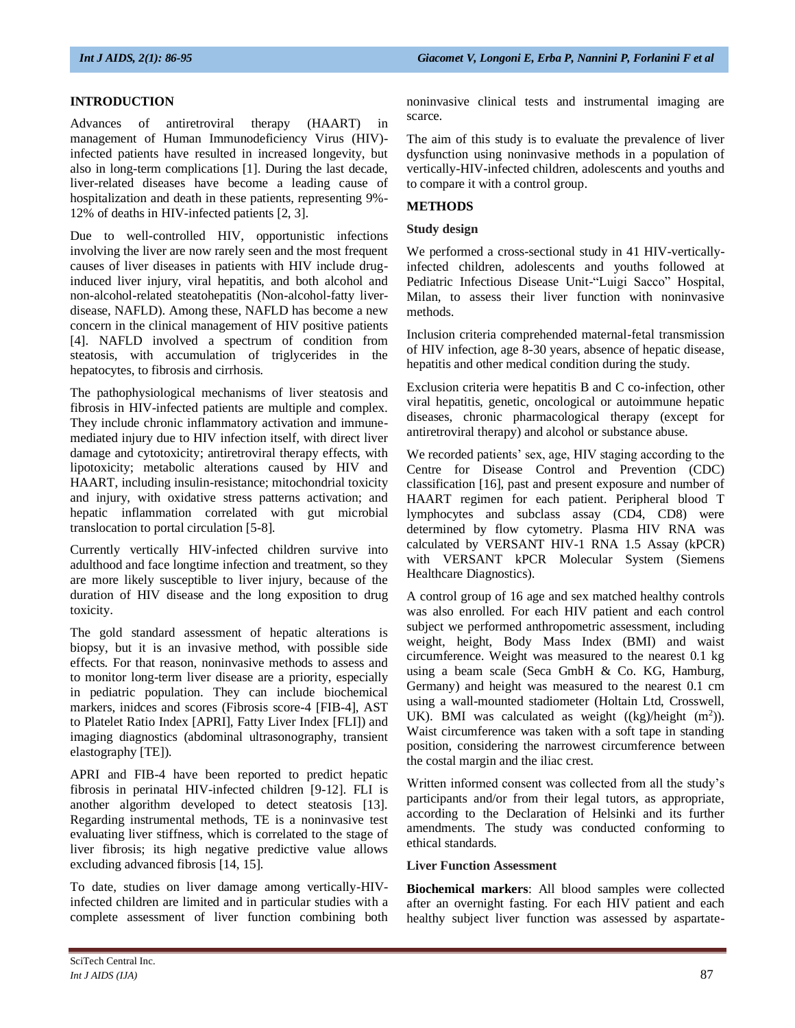#### **INTRODUCTION**

Advances of antiretroviral therapy (HAART) in management of Human Immunodeficiency Virus (HIV) infected patients have resulted in increased longevity, but also in long-term complications [1]. During the last decade, liver-related diseases have become a leading cause of hospitalization and death in these patients, representing 9%- 12% of deaths in HIV-infected patients [2, 3].

Due to well-controlled HIV, opportunistic infections involving the liver are now rarely seen and the most frequent causes of liver diseases in patients with HIV include druginduced liver injury, viral hepatitis, and both alcohol and non-alcohol-related steatohepatitis (Non-alcohol-fatty liverdisease, NAFLD). Among these, NAFLD has become a new concern in the clinical management of HIV positive patients [4]. NAFLD involved a spectrum of condition from steatosis, with accumulation of triglycerides in the hepatocytes, to fibrosis and cirrhosis.

The pathophysiological mechanisms of liver steatosis and fibrosis in HIV-infected patients are multiple and complex. They include chronic inflammatory activation and immunemediated injury due to HIV infection itself, with direct liver damage and cytotoxicity; antiretroviral therapy effects, with lipotoxicity; metabolic alterations caused by HIV and HAART, including insulin-resistance; mitochondrial toxicity and injury, with oxidative stress patterns activation; and hepatic inflammation correlated with gut microbial translocation to portal circulation [5-8].

Currently vertically HIV-infected children survive into adulthood and face longtime infection and treatment, so they are more likely susceptible to liver injury, because of the duration of HIV disease and the long exposition to drug toxicity.

The gold standard assessment of hepatic alterations is biopsy, but it is an invasive method, with possible side effects. For that reason, noninvasive methods to assess and to monitor long-term liver disease are a priority, especially in pediatric population. They can include biochemical markers, inidces and scores (Fibrosis score-4 [FIB-4], AST to Platelet Ratio Index [APRI], Fatty Liver Index [FLI]) and imaging diagnostics (abdominal ultrasonography, transient elastography [TE]).

APRI and FIB-4 have been reported to predict hepatic fibrosis in perinatal HIV-infected children [9-12]. FLI is another algorithm developed to detect steatosis [13]. Regarding instrumental methods, TE is a noninvasive test evaluating liver stiffness, which is correlated to the stage of liver fibrosis; its high negative predictive value allows excluding advanced fibrosis [14, 15].

To date, studies on liver damage among vertically-HIVinfected children are limited and in particular studies with a complete assessment of liver function combining both noninvasive clinical tests and instrumental imaging are scarce.

The aim of this study is to evaluate the prevalence of liver dysfunction using noninvasive methods in a population of vertically-HIV-infected children, adolescents and youths and to compare it with a control group.

#### **METHODS**

#### **Study design**

We performed a cross-sectional study in 41 HIV-verticallyinfected children, adolescents and youths followed at Pediatric Infectious Disease Unit-"Luigi Sacco" Hospital, Milan, to assess their liver function with noninvasive methods.

Inclusion criteria comprehended maternal-fetal transmission of HIV infection, age 8-30 years, absence of hepatic disease, hepatitis and other medical condition during the study.

Exclusion criteria were hepatitis B and C co-infection, other viral hepatitis, genetic, oncological or autoimmune hepatic diseases, chronic pharmacological therapy (except for antiretroviral therapy) and alcohol or substance abuse.

We recorded patients' sex, age, HIV staging according to the Centre for Disease Control and Prevention (CDC) classification [16], past and present exposure and number of HAART regimen for each patient. Peripheral blood T lymphocytes and subclass assay (CD4, CD8) were determined by flow cytometry. Plasma HIV RNA was calculated by VERSANT HIV-1 RNA 1.5 Assay (kPCR) with VERSANT kPCR Molecular System (Siemens Healthcare Diagnostics).

A control group of 16 age and sex matched healthy controls was also enrolled. For each HIV patient and each control subject we performed anthropometric assessment, including weight, height, Body Mass Index (BMI) and waist circumference. Weight was measured to the nearest 0.1 kg using a beam scale (Seca GmbH & Co. KG, Hamburg, Germany) and height was measured to the nearest 0.1 cm using a wall-mounted stadiometer (Holtain Ltd, Crosswell, UK). BMI was calculated as weight  $((kg)/height (m<sup>2</sup>)).$ Waist circumference was taken with a soft tape in standing position, considering the narrowest circumference between the costal margin and the iliac crest.

Written informed consent was collected from all the study's participants and/or from their legal tutors, as appropriate, according to the Declaration of Helsinki and its further amendments. The study was conducted conforming to ethical standards.

#### **Liver Function Assessment**

**Biochemical markers**: All blood samples were collected after an overnight fasting. For each HIV patient and each healthy subject liver function was assessed by aspartate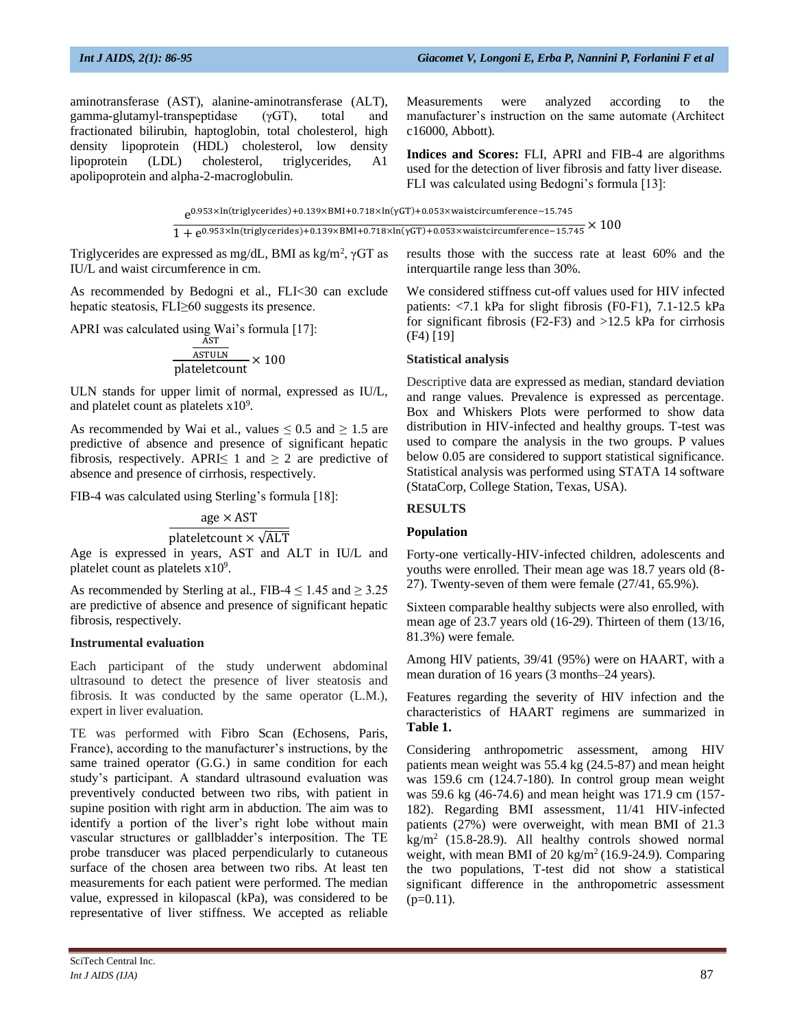aminotransferase (AST), alanine-aminotransferase (ALT), gamma-glutamyl-transpeptidase (γGT), total and fractionated bilirubin, haptoglobin, total cholesterol, high density lipoprotein (HDL) cholesterol, low density lipoprotein (LDL) cholesterol, triglycerides, A1 apolipoprotein and alpha-2-macroglobulin.

Measurements were analyzed according to the manufacturer's instruction on the same automate (Architect c16000, Abbott).

**Indices and Scores:** FLI, APRI and FIB-4 are algorithms used for the detection of liver fibrosis and fatty liver disease. FLI was calculated using Bedogni's formula [13]:

e 0.953×ln(triglycerides)+0.139×BMI+0.718×ln(γGT)+0.053×waistcircumference−15.745  $\frac{1}{1+e^{0.953\times\ln(\text{triglycerides})+0.139\times\text{BMI}+0.718\times\ln(\gamma\text{GT})+0.053\times\text{waistcircumference}-15.745}\times100^{-1}$ 

Triglycerides are expressed as mg/dL, BMI as kg/m<sup>2</sup>,  $\gamma$ GT as IU/L and waist circumference in cm.

As recommended by Bedogni et al., FLI<30 can exclude hepatic steatosis, FLI≥60 suggests its presence.

APRI was calculated using Wai's formula [17]:

$$
\frac{\frac{\text{AST}}{\text{ASTULN}}}{\text{plateletcount}} \times 100
$$

ULN stands for upper limit of normal, expressed as IU/L, and platelet count as platelets  $x10<sup>9</sup>$ .

As recommended by Wai et al., values  $\leq 0.5$  and  $\geq 1.5$  are predictive of absence and presence of significant hepatic fibrosis, respectively. APRI $\leq 1$  and  $\geq 2$  are predictive of absence and presence of cirrhosis, respectively.

FIB-4 was calculated using Sterling's formula [18]:

## $age \times AST$ plateletcount  $\times \sqrt{\text{ALT}}$

Age is expressed in years, AST and ALT in IU/L and platelet count as platelets  $x10<sup>9</sup>$ .

As recommended by Sterling at al., FIB-4  $\leq$  1.45 and  $\geq$  3.25 are predictive of absence and presence of significant hepatic fibrosis, respectively.

#### **Instrumental evaluation**

Each participant of the study underwent abdominal ultrasound to detect the presence of liver steatosis and fibrosis. It was conducted by the same operator (L.M.), expert in liver evaluation.

TE was performed with Fibro Scan (Echosens, Paris, France), according to the manufacturer's instructions, by the same trained operator (G.G.) in same condition for each study's participant. A standard ultrasound evaluation was preventively conducted between two ribs, with patient in supine position with right arm in abduction. The aim was to identify a portion of the liver's right lobe without main vascular structures or gallbladder's interposition. The TE probe transducer was placed perpendicularly to cutaneous surface of the chosen area between two ribs. At least ten measurements for each patient were performed. The median value, expressed in kilopascal (kPa), was considered to be representative of liver stiffness. We accepted as reliable

results those with the success rate at least 60% and the interquartile range less than 30%.

We considered stiffness cut-off values used for HIV infected patients: <7.1 kPa for slight fibrosis (F0-F1), 7.1-12.5 kPa for significant fibrosis (F2-F3) and >12.5 kPa for cirrhosis (F4) [19]

#### **Statistical analysis**

Descriptive data are expressed as median, standard deviation and range values. Prevalence is expressed as percentage. Box and Whiskers Plots were performed to show data distribution in HIV-infected and healthy groups. T-test was used to compare the analysis in the two groups. P values below 0.05 are considered to support statistical significance. Statistical analysis was performed using STATA 14 software (StataCorp, College Station, Texas, USA).

#### **RESULTS**

#### **Population**

Forty-one vertically-HIV-infected children, adolescents and youths were enrolled. Their mean age was 18.7 years old (8- 27). Twenty-seven of them were female (27/41, 65.9%).

Sixteen comparable healthy subjects were also enrolled, with mean age of 23.7 years old (16-29). Thirteen of them (13/16, 81.3%) were female.

Among HIV patients, 39/41 (95%) were on HAART, with a mean duration of 16 years (3 months–24 years).

Features regarding the severity of HIV infection and the characteristics of HAART regimens are summarized in **Table 1.**

Considering anthropometric assessment, among HIV patients mean weight was 55.4 kg (24.5-87) and mean height was 159.6 cm (124.7-180). In control group mean weight was 59.6 kg (46-74.6) and mean height was 171.9 cm (157- 182). Regarding BMI assessment, 11/41 HIV-infected patients (27%) were overweight, with mean BMI of 21.3  $kg/m^2$  (15.8-28.9). All healthy controls showed normal weight, with mean BMI of 20 kg/m<sup>2</sup> (16.9-24.9). Comparing the two populations, T-test did not show a statistical significant difference in the anthropometric assessment  $(p=0.11)$ .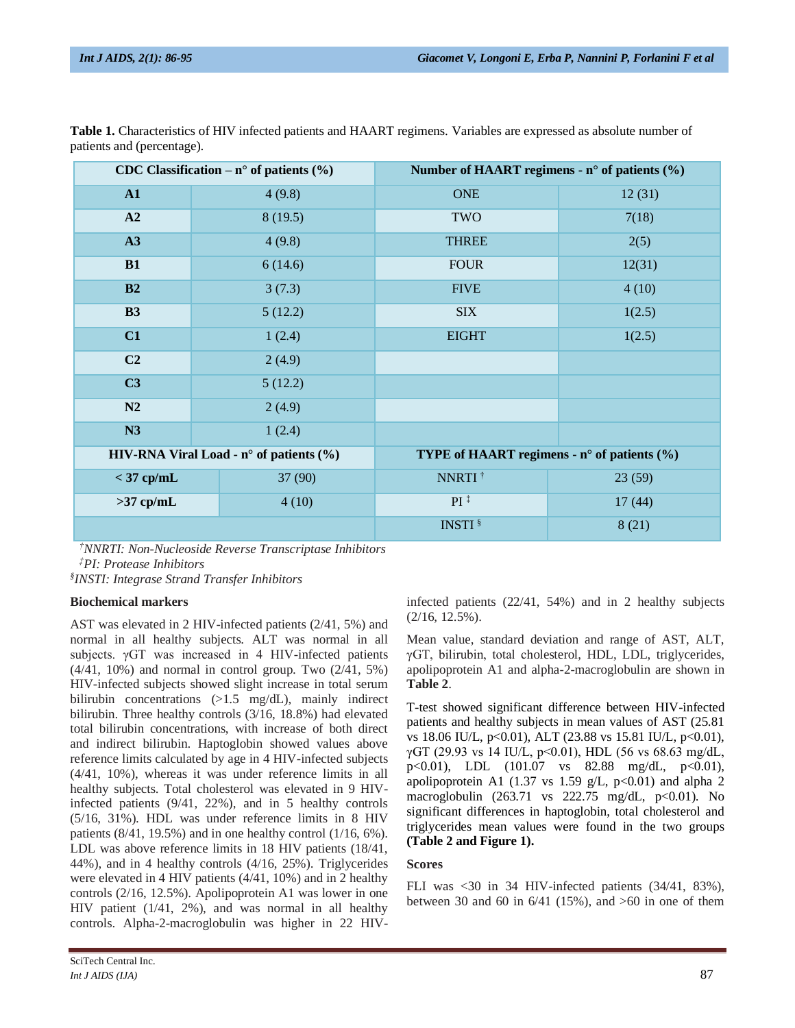| CDC Classification – $n^{\circ}$ of patients (%) |         | Number of HAART regimens - $n^{\circ}$ of patients $(\% )$ |        |
|--------------------------------------------------|---------|------------------------------------------------------------|--------|
| ${\bf A1}$                                       | 4(9.8)  | <b>ONE</b>                                                 | 12(31) |
| A2                                               | 8(19.5) | TWO                                                        | 7(18)  |
| A3                                               | 4(9.8)  | <b>THREE</b>                                               | 2(5)   |
| <b>B1</b>                                        | 6(14.6) | <b>FOUR</b>                                                | 12(31) |
| <b>B2</b>                                        | 3(7.3)  | <b>FIVE</b>                                                | 4(10)  |
| <b>B3</b>                                        | 5(12.2) | <b>SIX</b>                                                 | 1(2.5) |
| C1                                               | 1(2.4)  | <b>EIGHT</b>                                               | 1(2.5) |
| C <sub>2</sub>                                   | 2(4.9)  |                                                            |        |
| C3                                               | 5(12.2) |                                                            |        |
| N2                                               | 2(4.9)  |                                                            |        |
| N3                                               | 1(2.4)  |                                                            |        |
| HIV-RNA Viral Load - $n^{\circ}$ of patients (%) |         | TYPE of HAART regimens - $n^{\circ}$ of patients (%)       |        |
| $<$ 37 cp/mL                                     | 37 (90) | NNRTI <sup>†</sup>                                         | 23(59) |
| $>37$ cp/mL                                      | 4(10)   | $PI^{\ddagger}$                                            | 17(44) |
|                                                  |         | <b>INSTI</b> <sup>§</sup>                                  | 8(21)  |

**Table 1.** Characteristics of HIV infected patients and HAART regimens. Variables are expressed as absolute number of patients and (percentage).

*†NNRTI: Non-Nucleoside Reverse Transcriptase Inhibitors ‡PI: Protease Inhibitors*

*§ INSTI: Integrase Strand Transfer Inhibitors*

#### **Biochemical markers**

AST was elevated in 2 HIV-infected patients (2/41, 5%) and normal in all healthy subjects. ALT was normal in all subjects. γGT was increased in 4 HIV-infected patients (4/41, 10%) and normal in control group. Two (2/41, 5%) HIV-infected subjects showed slight increase in total serum bilirubin concentrations (>1.5 mg/dL), mainly indirect bilirubin. Three healthy controls (3/16, 18.8%) had elevated total bilirubin concentrations, with increase of both direct and indirect bilirubin. Haptoglobin showed values above reference limits calculated by age in 4 HIV-infected subjects (4/41, 10%), whereas it was under reference limits in all healthy subjects. Total cholesterol was elevated in 9 HIVinfected patients (9/41, 22%), and in 5 healthy controls (5/16, 31%). HDL was under reference limits in 8 HIV patients  $(8/41, 19.5\%)$  and in one healthy control  $(1/16, 6\%)$ . LDL was above reference limits in 18 HIV patients (18/41, 44%), and in 4 healthy controls (4/16, 25%). Triglycerides were elevated in 4 HIV patients (4/41, 10%) and in 2 healthy controls (2/16, 12.5%). Apolipoprotein A1 was lower in one HIV patient (1/41, 2%), and was normal in all healthy controls. Alpha-2-macroglobulin was higher in 22 HIV-

p<0.01), LDL (101.07 vs 82.88 mg/dL, p<0.01),

apolipoprotein A1 (1.37 vs 1.59 g/L,  $p<0.01$ ) and alpha 2 macroglobulin  $(263.71 \text{ vs } 222.75 \text{ mg/dL}, \text{ p} < 0.01)$ . No significant differences in haptoglobin, total cholesterol and triglycerides mean values were found in the two groups **(Table 2 and Figure 1).**

infected patients (22/41, 54%) and in 2 healthy subjects

Mean value, standard deviation and range of AST, ALT, γGT, bilirubin, total cholesterol, HDL, LDL, triglycerides, apolipoprotein A1 and alpha-2-macroglobulin are shown in

T-test showed significant difference between HIV-infected patients and healthy subjects in mean values of AST (25.81 vs 18.06 IU/L, p<0.01), ALT (23.88 vs 15.81 IU/L, p<0.01), γGT (29.93 vs 14 IU/L, p<0.01), HDL (56 vs 68.63 mg/dL,

## **Scores**

(2/16, 12.5%).

**Table 2**.

FLI was <30 in 34 HIV-infected patients (34/41, 83%), between 30 and 60 in  $6/41$  (15%), and  $>60$  in one of them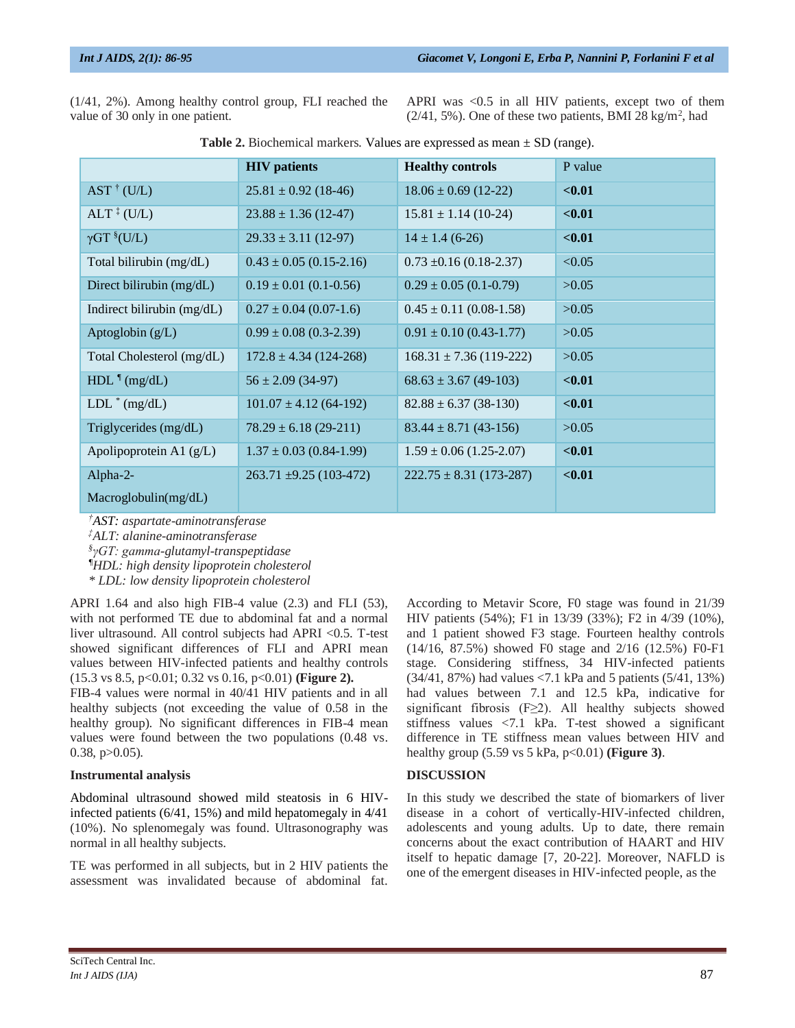(1/41, 2%). Among healthy control group, FLI reached the value of 30 only in one patient.

APRI was <0.5 in all HIV patients, except two of them  $(2/41, 5\%)$ . One of these two patients, BMI 28 kg/m<sup>2</sup>, had

|                                                 | <b>HIV</b> patients           | <b>Healthy controls</b>     | P value |
|-------------------------------------------------|-------------------------------|-----------------------------|---------|
| $AST \dagger (U/L)$                             | $25.81 \pm 0.92$ (18-46)      | $18.06 \pm 0.69$ (12-22)    | < 0.01  |
| $ALT$ <sup><math>\ddagger</math></sup> (U/L)    | $23.88 \pm 1.36$ (12-47)      | $15.81 \pm 1.14$ (10-24)    | $0.01$  |
| $\gamma GT$ <sup>§</sup> (U/L)                  | $29.33 \pm 3.11$ (12-97)      | $14 \pm 1.4$ (6-26)         | $0.01$  |
| Total bilirubin (mg/dL)                         | $0.43 \pm 0.05$ (0.15-2.16)   | $0.73 \pm 0.16$ (0.18-2.37) | < 0.05  |
| Direct bilirubin (mg/dL)                        | $0.19 \pm 0.01$ (0.1-0.56)    | $0.29 \pm 0.05$ (0.1-0.79)  | >0.05   |
| Indirect bilirubin $(mg/dL)$                    | $0.27 \pm 0.04$ (0.07-1.6)    | $0.45 \pm 0.11$ (0.08-1.58) | >0.05   |
| Aptoglobin $(g/L)$                              | $0.99 \pm 0.08$ (0.3-2.39)    | $0.91 \pm 0.10$ (0.43-1.77) | >0.05   |
| Total Cholesterol (mg/dL)                       | $172.8 \pm 4.34$ (124-268)    | $168.31 \pm 7.36$ (119-222) | >0.05   |
| $HDL$ <sup><math>\parallel</math></sup> (mg/dL) | $56 \pm 2.09$ (34-97)         | $68.63 \pm 3.67$ (49-103)   | $0.01$  |
| $LDL^*$ (mg/dL)                                 | $101.07 \pm 4.12$ (64-192)    | $82.88 \pm 6.37$ (38-130)   | $0.01$  |
| Triglycerides (mg/dL)                           | $78.29 \pm 6.18$ (29-211)     | $83.44 \pm 8.71$ (43-156)   | >0.05   |
| Apolipoprotein A1 $(g/L)$                       | $1.37 \pm 0.03$ (0.84-1.99)   | $1.59 \pm 0.06$ (1.25-2.07) | $0.01$  |
| Alpha- $2-$                                     | $263.71 \pm 9.25 (103 - 472)$ | $222.75 \pm 8.31$ (173-287) | < 0.01  |
| Macroglobulin(mg/dL)                            |                               |                             |         |

**Table 2.** Biochemical markers. Values are expressed as mean ± SD (range).

*†AST: aspartate-aminotransferase ‡ALT: alanine-aminotransferase § γGT: gamma-glutamyl-transpeptidase ¶HDL: high density lipoprotein cholesterol*

*\* LDL: low density lipoprotein cholesterol*

APRI 1.64 and also high FIB-4 value (2.3) and FLI (53), with not performed TE due to abdominal fat and a normal liver ultrasound. All control subjects had APRI <0.5. T-test showed significant differences of FLI and APRI mean values between HIV-infected patients and healthy controls (15.3 vs 8.5, p<0.01; 0.32 vs 0.16, p<0.01) **(Figure 2).**

FIB-4 values were normal in 40/41 HIV patients and in all healthy subjects (not exceeding the value of 0.58 in the healthy group). No significant differences in FIB-4 mean values were found between the two populations (0.48 vs. 0.38,  $p > 0.05$ ).

#### **Instrumental analysis**

Abdominal ultrasound showed mild steatosis in 6 HIVinfected patients (6/41, 15%) and mild hepatomegaly in 4/41 (10%). No splenomegaly was found. Ultrasonography was normal in all healthy subjects.

TE was performed in all subjects, but in 2 HIV patients the assessment was invalidated because of abdominal fat.

According to Metavir Score, F0 stage was found in 21/39 HIV patients (54%); F1 in 13/39 (33%); F2 in 4/39 (10%), and 1 patient showed F3 stage. Fourteen healthy controls (14/16, 87.5%) showed F0 stage and 2/16 (12.5%) F0-F1 stage. Considering stiffness, 34 HIV-infected patients (34/41, 87%) had values <7.1 kPa and 5 patients (5/41, 13%) had values between 7.1 and 12.5 kPa, indicative for significant fibrosis (F≥2). All healthy subjects showed stiffness values <7.1 kPa. T-test showed a significant difference in TE stiffness mean values between HIV and healthy group (5.59 vs 5 kPa, p<0.01) **(Figure 3)**.

#### **DISCUSSION**

In this study we described the state of biomarkers of liver disease in a cohort of vertically-HIV-infected children, adolescents and young adults. Up to date, there remain concerns about the exact contribution of HAART and HIV itself to hepatic damage [7, 20-22]. Moreover, NAFLD is one of the emergent diseases in HIV-infected people, as the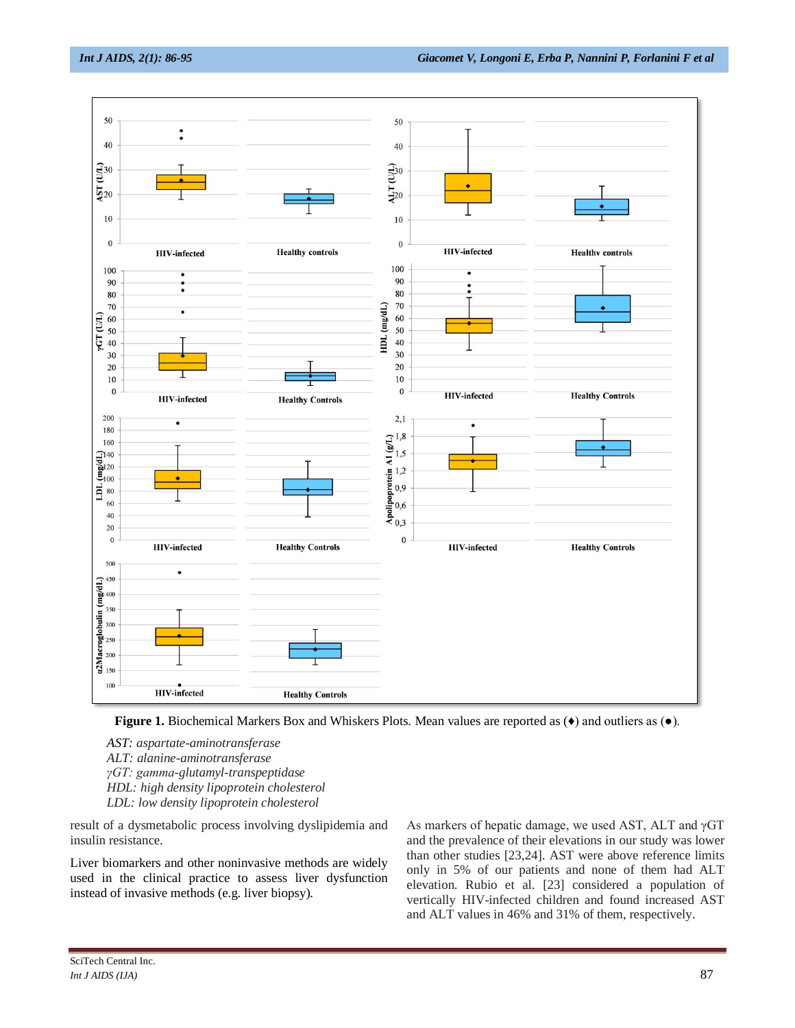



*AST: aspartate-aminotransferase*

*ALT: alanine-aminotransferase* 

- *γGT: gamma-glutamyl-transpeptidase*
- *HDL: high density lipoprotein cholesterol*

*LDL: low density lipoprotein cholesterol*

result of a dysmetabolic process involving dyslipidemia and insulin resistance.

Liver biomarkers and other noninvasive methods are widely used in the clinical practice to assess liver dysfunction instead of invasive methods (e.g. liver biopsy).

As markers of hepatic damage, we used AST, ALT and γGT and the prevalence of their elevations in our study was lower than other studies [23,24]. AST were above reference limits only in 5% of our patients and none of them had ALT elevation. Rubio et al. [23] considered a population of vertically HIV-infected children and found increased AST and ALT values in 46% and 31% of them, respectively.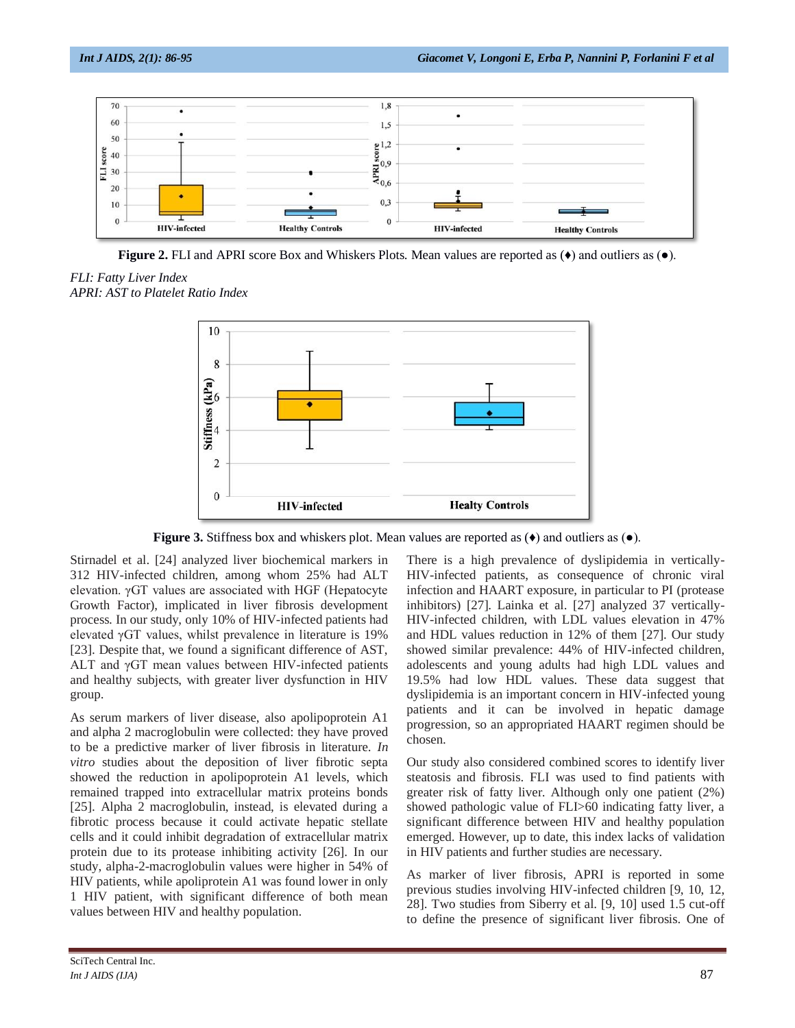

**Figure 2.** FLI and APRI score Box and Whiskers Plots. Mean values are reported as (♦) and outliers as (●).

*FLI: Fatty Liver Index APRI: AST to Platelet Ratio Index*



**Figure 3.** Stiffness box and whiskers plot. Mean values are reported as (♦) and outliers as (●).

Stirnadel et al. [24] analyzed liver biochemical markers in 312 HIV-infected children, among whom 25% had ALT elevation. γGT values are associated with HGF (Hepatocyte Growth Factor), implicated in liver fibrosis development process. In our study, only 10% of HIV-infected patients had elevated γGT values, whilst prevalence in literature is 19% [23]. Despite that, we found a significant difference of AST, ALT and γGT mean values between HIV-infected patients and healthy subjects, with greater liver dysfunction in HIV group.

As serum markers of liver disease, also apolipoprotein A1 and alpha 2 macroglobulin were collected: they have proved to be a predictive marker of liver fibrosis in literature. *In vitro* studies about the deposition of liver fibrotic septa showed the reduction in apolipoprotein A1 levels, which remained trapped into extracellular matrix proteins bonds [25]. Alpha 2 macroglobulin, instead, is elevated during a fibrotic process because it could activate hepatic stellate cells and it could inhibit degradation of extracellular matrix protein due to its protease inhibiting activity [26]. In our study, alpha-2-macroglobulin values were higher in 54% of HIV patients, while apoliprotein A1 was found lower in only 1 HIV patient, with significant difference of both mean values between HIV and healthy population.

There is a high prevalence of dyslipidemia in vertically-HIV-infected patients, as consequence of chronic viral infection and HAART exposure, in particular to PI (protease inhibitors) [27]. Lainka et al. [27] analyzed 37 vertically-HIV-infected children, with LDL values elevation in 47% and HDL values reduction in 12% of them [27]. Our study showed similar prevalence: 44% of HIV-infected children, adolescents and young adults had high LDL values and 19.5% had low HDL values. These data suggest that dyslipidemia is an important concern in HIV-infected young patients and it can be involved in hepatic damage progression, so an appropriated HAART regimen should be chosen.

Our study also considered combined scores to identify liver steatosis and fibrosis. FLI was used to find patients with greater risk of fatty liver. Although only one patient (2%) showed pathologic value of FLI>60 indicating fatty liver, a significant difference between HIV and healthy population emerged. However, up to date, this index lacks of validation in HIV patients and further studies are necessary.

As marker of liver fibrosis, APRI is reported in some previous studies involving HIV-infected children [9, 10, 12, 28]. Two studies from Siberry et al. [9, 10] used 1.5 cut-off to define the presence of significant liver fibrosis. One of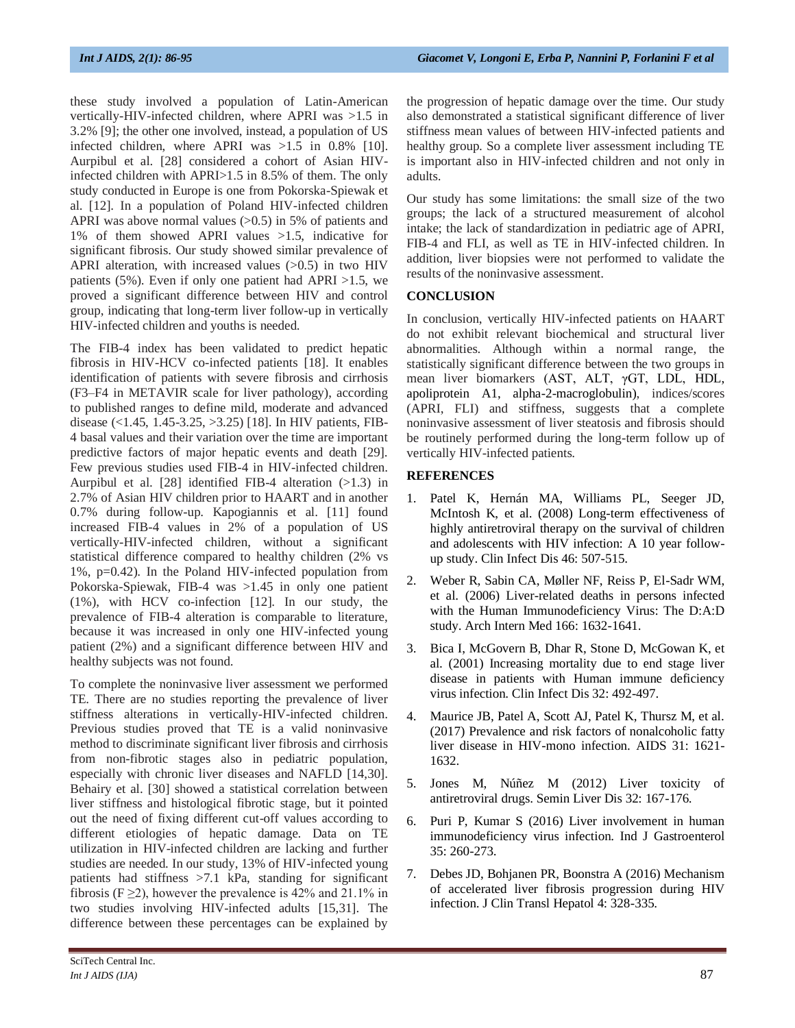these study involved a population of Latin-American vertically-HIV-infected children, where APRI was >1.5 in 3.2% [9]; the other one involved, instead, a population of US infected children, where APRI was >1.5 in 0.8% [10]. Aurpibul et al. [28] considered a cohort of Asian HIVinfected children with APRI>1.5 in 8.5% of them. The only study conducted in Europe is one from Pokorska-Spiewak et al. [12]. In a population of Poland HIV-infected children APRI was above normal values (>0.5) in 5% of patients and 1% of them showed APRI values >1.5, indicative for significant fibrosis. Our study showed similar prevalence of APRI alteration, with increased values  $(>0.5)$  in two HIV patients (5%). Even if only one patient had APRI  $>1.5$ , we proved a significant difference between HIV and control group, indicating that long-term liver follow-up in vertically HIV-infected children and youths is needed.

The FIB-4 index has been validated to predict hepatic fibrosis in HIV-HCV co-infected patients [18]. It enables identification of patients with severe fibrosis and cirrhosis (F3–F4 in METAVIR scale for liver pathology), according to published ranges to define mild, moderate and advanced disease (<1.45, 1.45-3.25, >3.25) [18]. In HIV patients, FIB-4 basal values and their variation over the time are important predictive factors of major hepatic events and death [29]. Few previous studies used FIB-4 in HIV-infected children. Aurpibul et al. [28] identified FIB-4 alteration (>1.3) in 2.7% of Asian HIV children prior to HAART and in another 0.7% during follow-up. Kapogiannis et al. [11] found increased FIB-4 values in 2% of a population of US vertically-HIV-infected children, without a significant statistical difference compared to healthy children (2% vs 1%, p=0.42). In the Poland HIV-infected population from Pokorska-Spiewak, FIB-4 was >1.45 in only one patient (1%), with HCV co-infection [12]. In our study, the prevalence of FIB-4 alteration is comparable to literature, because it was increased in only one HIV-infected young patient (2%) and a significant difference between HIV and healthy subjects was not found.

To complete the noninvasive liver assessment we performed TE. There are no studies reporting the prevalence of liver stiffness alterations in vertically-HIV-infected children. Previous studies proved that TE is a valid noninvasive method to discriminate significant liver fibrosis and cirrhosis from non-fibrotic stages also in pediatric population, especially with chronic liver diseases and NAFLD [14,30]. Behairy et al. [30] showed a statistical correlation between liver stiffness and histological fibrotic stage, but it pointed out the need of fixing different cut-off values according to different etiologies of hepatic damage. Data on TE utilization in HIV-infected children are lacking and further studies are needed. In our study, 13% of HIV-infected young patients had stiffness >7.1 kPa, standing for significant fibrosis (F  $\geq$ 2), however the prevalence is 42% and 21.1% in two studies involving HIV-infected adults [15,31]. The difference between these percentages can be explained by

the progression of hepatic damage over the time. Our study also demonstrated a statistical significant difference of liver stiffness mean values of between HIV-infected patients and healthy group. So a complete liver assessment including TE is important also in HIV-infected children and not only in adults.

Our study has some limitations: the small size of the two groups; the lack of a structured measurement of alcohol intake; the lack of standardization in pediatric age of APRI, FIB-4 and FLI, as well as TE in HIV-infected children. In addition, liver biopsies were not performed to validate the results of the noninvasive assessment.

## **CONCLUSION**

In conclusion, vertically HIV-infected patients on HAART do not exhibit relevant biochemical and structural liver abnormalities. Although within a normal range, the statistically significant difference between the two groups in mean liver biomarkers (AST, ALT, γGT, LDL, HDL, apoliprotein A1, alpha-2-macroglobulin), indices/scores (APRI, FLI) and stiffness, suggests that a complete noninvasive assessment of liver steatosis and fibrosis should be routinely performed during the long-term follow up of vertically HIV-infected patients.

## **REFERENCES**

- 1. Patel K, Hernán MA, Williams PL, Seeger JD, McIntosh K, et al. (2008) Long-term effectiveness of highly antiretroviral therapy on the survival of children and adolescents with HIV infection: A 10 year followup study. Clin Infect Dis 46: 507-515.
- 2. Weber R, Sabin CA, Møller NF, Reiss P, El-Sadr WM, et al. (2006) Liver-related deaths in persons infected with the Human Immunodeficiency Virus: The D:A:D study. Arch Intern Med 166: 1632-1641.
- 3. Bica I, McGovern B, Dhar R, Stone D, McGowan K, et al. (2001) Increasing mortality due to end stage liver disease in patients with Human immune deficiency virus infection. Clin Infect Dis 32: 492-497.
- 4. Maurice JB, Patel A, Scott AJ, Patel K, Thursz M, et al. (2017) Prevalence and risk factors of nonalcoholic fatty liver disease in HIV-mono infection. AIDS 31: 1621- 1632.
- 5. Jones M, Núñez M (2012) Liver toxicity of antiretroviral drugs. Semin Liver Dis 32: 167-176.
- 6. Puri P, Kumar S (2016) Liver involvement in human immunodeficiency virus infection. Ind J Gastroenterol 35: 260-273.
- 7. Debes JD, Bohjanen PR, Boonstra A (2016) Mechanism of accelerated liver fibrosis progression during HIV infection. J Clin Transl Hepatol 4: 328-335.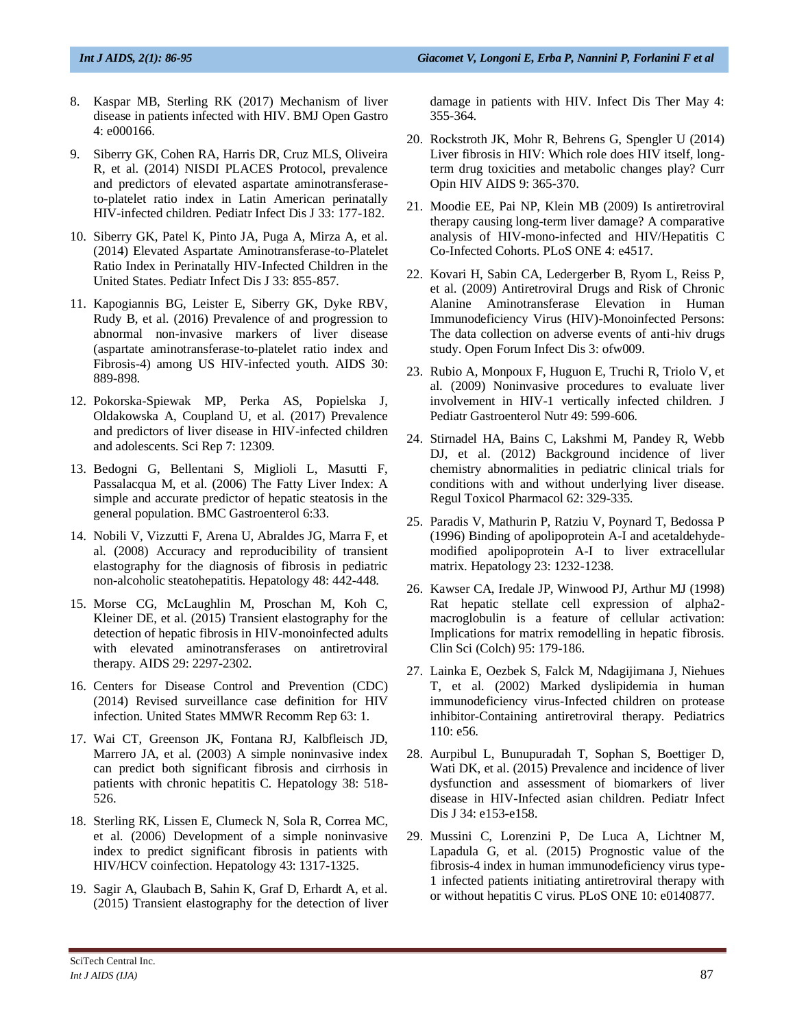- 8. Kaspar MB, Sterling RK (2017) Mechanism of liver disease in patients infected with HIV. BMJ Open Gastro 4: e000166.
- 9. Siberry GK, Cohen RA, Harris DR, Cruz MLS, Oliveira R, et al. (2014) NISDI PLACES Protocol, prevalence and predictors of elevated aspartate aminotransferaseto-platelet ratio index in Latin American perinatally HIV-infected children. Pediatr Infect Dis J 33: 177-182.
- 10. Siberry GK, Patel K, Pinto JA, Puga A, Mirza A, et al. (2014) Elevated Aspartate Aminotransferase-to-Platelet Ratio Index in Perinatally HIV-Infected Children in the United States. Pediatr Infect Dis J 33: 855-857.
- 11. Kapogiannis BG, Leister E, Siberry GK, Dyke RBV, Rudy B, et al. (2016) Prevalence of and progression to abnormal non-invasive markers of liver disease (aspartate aminotransferase-to-platelet ratio index and Fibrosis-4) among US HIV-infected youth. AIDS 30: 889-898.
- 12. Pokorska-Spiewak MP, Perka AS, Popielska J, Oldakowska A, Coupland U, et al. (2017) Prevalence and predictors of liver disease in HIV-infected children and adolescents. Sci Rep 7: 12309.
- 13. Bedogni G, Bellentani S, Miglioli L, Masutti F, Passalacqua M, et al. (2006) The Fatty Liver Index: A simple and accurate predictor of hepatic steatosis in the general population. BMC Gastroenterol 6:33.
- 14. Nobili V, Vizzutti F, Arena U, Abraldes JG, Marra F, et al. (2008) Accuracy and reproducibility of transient elastography for the diagnosis of fibrosis in pediatric non-alcoholic steatohepatitis. Hepatology 48: 442-448.
- 15. Morse CG, McLaughlin M, Proschan M, Koh C, Kleiner DE, et al. (2015) Transient elastography for the detection of hepatic fibrosis in HIV-monoinfected adults with elevated aminotransferases on antiretroviral therapy. AIDS 29: 2297-2302.
- 16. Centers for Disease Control and Prevention (CDC) (2014) Revised surveillance case definition for HIV infection. United States MMWR Recomm Rep 63: 1.
- 17. Wai CT, Greenson JK, Fontana RJ, Kalbfleisch JD, Marrero JA, et al. (2003) A simple noninvasive index can predict both significant fibrosis and cirrhosis in patients with chronic hepatitis C. Hepatology 38: 518- 526.
- 18. Sterling RK, Lissen E, Clumeck N, Sola R, Correa MC, et al. (2006) Development of a simple noninvasive index to predict significant fibrosis in patients with HIV/HCV coinfection. Hepatology 43: 1317-1325.
- 19. Sagir A, Glaubach B, Sahin K, Graf D, Erhardt A, et al. (2015) Transient elastography for the detection of liver

damage in patients with HIV. Infect Dis Ther May 4: 355-364.

- 20. Rockstroth JK, Mohr R, Behrens G, Spengler U (2014) Liver fibrosis in HIV: Which role does HIV itself, longterm drug toxicities and metabolic changes play? Curr Opin HIV AIDS 9: 365-370.
- 21. Moodie EE, Pai NP, Klein MB (2009) Is antiretroviral therapy causing long-term liver damage? A comparative analysis of HIV-mono-infected and HIV/Hepatitis C Co-Infected Cohorts. PLoS ONE 4: e4517.
- 22. Kovari H, Sabin CA, Ledergerber B, Ryom L, Reiss P, et al. (2009) Antiretroviral Drugs and Risk of Chronic Alanine Aminotransferase Elevation in Human Immunodeficiency Virus (HIV)-Monoinfected Persons: The data collection on adverse events of anti-hiv drugs study. Open Forum Infect Dis 3: ofw009.
- 23. Rubio A, Monpoux F, Huguon E, Truchi R, Triolo V, et al. (2009) Noninvasive procedures to evaluate liver involvement in HIV-1 vertically infected children. J Pediatr Gastroenterol Nutr 49: 599-606.
- 24. Stirnadel HA, Bains C, Lakshmi M, Pandey R, Webb DJ, et al. (2012) Background incidence of liver chemistry abnormalities in pediatric clinical trials for conditions with and without underlying liver disease. Regul Toxicol Pharmacol 62: 329-335.
- 25. Paradis V, Mathurin P, Ratziu V, Poynard T, Bedossa P (1996) Binding of apolipoprotein A-I and acetaldehydemodified apolipoprotein A-I to liver extracellular matrix. Hepatology 23: 1232-1238.
- 26. Kawser CA, Iredale JP, Winwood PJ, Arthur MJ (1998) Rat hepatic stellate cell expression of alpha2 macroglobulin is a feature of cellular activation: Implications for matrix remodelling in hepatic fibrosis. Clin Sci (Colch) 95: 179-186.
- 27. Lainka E, Oezbek S, Falck M, Ndagijimana J, Niehues T, et al. (2002) Marked dyslipidemia in human immunodeficiency virus-Infected children on protease inhibitor-Containing antiretroviral therapy. Pediatrics 110: e56.
- 28. Aurpibul L, Bunupuradah T, Sophan S, Boettiger D, Wati DK, et al. (2015) Prevalence and incidence of liver dysfunction and assessment of biomarkers of liver disease in HIV-Infected asian children. Pediatr Infect Dis J 34: e153-e158.
- 29. Mussini C, Lorenzini P, De Luca A, Lichtner M, Lapadula G, et al. (2015) Prognostic value of the fibrosis-4 index in human immunodeficiency virus type-1 infected patients initiating antiretroviral therapy with or without hepatitis C virus. PLoS ONE 10: e0140877.